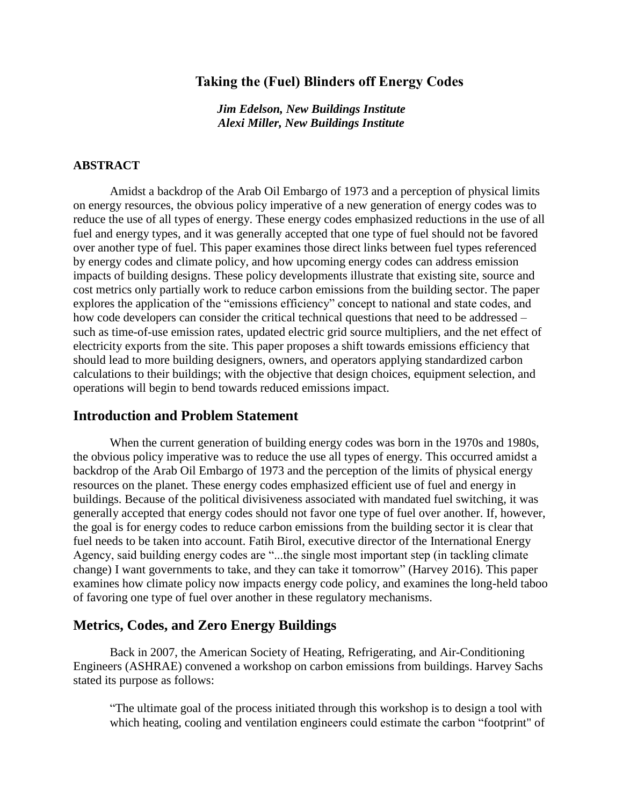## **Taking the (Fuel) Blinders off Energy Codes**

*Jim Edelson, New Buildings Institute Alexi Miller, New Buildings Institute*

#### **ABSTRACT**

Amidst a backdrop of the Arab Oil Embargo of 1973 and a perception of physical limits on energy resources, the obvious policy imperative of a new generation of energy codes was to reduce the use of all types of energy. These energy codes emphasized reductions in the use of all fuel and energy types, and it was generally accepted that one type of fuel should not be favored over another type of fuel. This paper examines those direct links between fuel types referenced by energy codes and climate policy, and how upcoming energy codes can address emission impacts of building designs. These policy developments illustrate that existing site, source and cost metrics only partially work to reduce carbon emissions from the building sector. The paper explores the application of the "emissions efficiency" concept to national and state codes, and how code developers can consider the critical technical questions that need to be addressed – such as time-of-use emission rates, updated electric grid source multipliers, and the net effect of electricity exports from the site. This paper proposes a shift towards emissions efficiency that should lead to more building designers, owners, and operators applying standardized carbon calculations to their buildings; with the objective that design choices, equipment selection, and operations will begin to bend towards reduced emissions impact.

## **Introduction and Problem Statement**

When the current generation of building energy codes was born in the 1970s and 1980s, the obvious policy imperative was to reduce the use all types of energy. This occurred amidst a backdrop of the Arab Oil Embargo of 1973 and the perception of the limits of physical energy resources on the planet. These energy codes emphasized efficient use of fuel and energy in buildings. Because of the political divisiveness associated with mandated fuel switching, it was generally accepted that energy codes should not favor one type of fuel over another. If, however, the goal is for energy codes to reduce carbon emissions from the building sector it is clear that fuel needs to be taken into account. Fatih Birol, executive director of the International Energy Agency, said building energy codes are "...the single most important step (in tackling climate change) I want governments to take, and they can take it tomorrow" (Harvey 2016). This paper examines how climate policy now impacts energy code policy, and examines the long-held taboo of favoring one type of fuel over another in these regulatory mechanisms.

#### **Metrics, Codes, and Zero Energy Buildings**

Back in 2007, the American Society of Heating, Refrigerating, and Air-Conditioning Engineers (ASHRAE) convened a workshop on carbon emissions from buildings. Harvey Sachs stated its purpose as follows:

"The ultimate goal of the process initiated through this workshop is to design a tool with which heating, cooling and ventilation engineers could estimate the carbon "footprint" of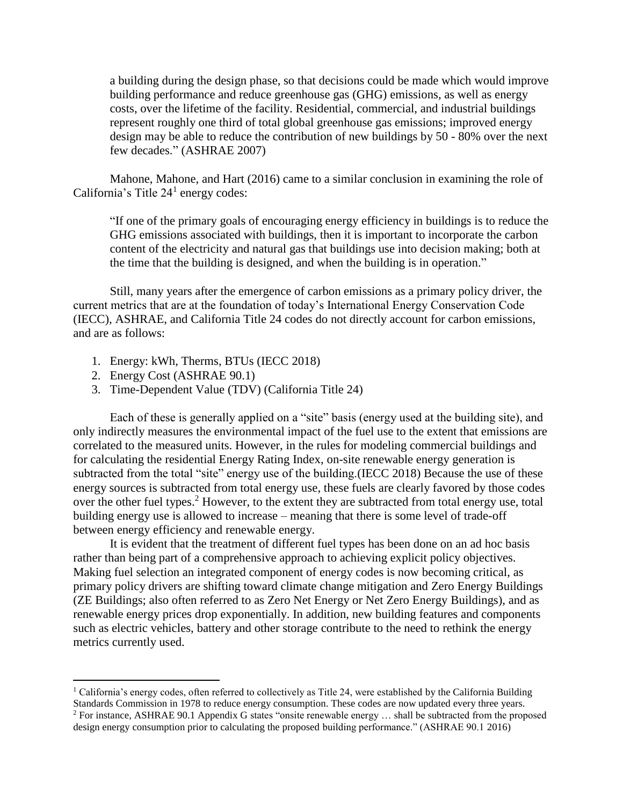a building during the design phase, so that decisions could be made which would improve building performance and reduce greenhouse gas (GHG) emissions, as well as energy costs, over the lifetime of the facility. Residential, commercial, and industrial buildings represent roughly one third of total global greenhouse gas emissions; improved energy design may be able to reduce the contribution of new buildings by 50 - 80% over the next few decades." (ASHRAE 2007)

Mahone, Mahone, and Hart (2016) came to a similar conclusion in examining the role of California's Title  $24<sup>1</sup>$  energy codes:

"If one of the primary goals of encouraging energy efficiency in buildings is to reduce the GHG emissions associated with buildings, then it is important to incorporate the carbon content of the electricity and natural gas that buildings use into decision making; both at the time that the building is designed, and when the building is in operation."

Still, many years after the emergence of carbon emissions as a primary policy driver, the current metrics that are at the foundation of today's International Energy Conservation Code (IECC), ASHRAE, and California Title 24 codes do not directly account for carbon emissions, and are as follows:

- 1. Energy: kWh, Therms, BTUs (IECC 2018)
- 2. Energy Cost (ASHRAE 90.1)

 $\overline{a}$ 

3. Time-Dependent Value (TDV) (California Title 24)

Each of these is generally applied on a "site" basis (energy used at the building site), and only indirectly measures the environmental impact of the fuel use to the extent that emissions are correlated to the measured units. However, in the rules for modeling commercial buildings and for calculating the residential Energy Rating Index, on-site renewable energy generation is subtracted from the total "site" energy use of the building.(IECC 2018) Because the use of these energy sources is subtracted from total energy use, these fuels are clearly favored by those codes over the other fuel types.<sup>2</sup> However, to the extent they are subtracted from total energy use, total building energy use is allowed to increase – meaning that there is some level of trade-off between energy efficiency and renewable energy.

It is evident that the treatment of different fuel types has been done on an ad hoc basis rather than being part of a comprehensive approach to achieving explicit policy objectives. Making fuel selection an integrated component of energy codes is now becoming critical, as primary policy drivers are shifting toward climate change mitigation and Zero Energy Buildings (ZE Buildings; also often referred to as Zero Net Energy or Net Zero Energy Buildings), and as renewable energy prices drop exponentially. In addition, new building features and components such as electric vehicles, battery and other storage contribute to the need to rethink the energy metrics currently used.

<sup>&</sup>lt;sup>1</sup> California's energy codes, often referred to collectively as Title 24, were established by the California Building

Standards Commission in 1978 to reduce energy consumption. These codes are now updated every three years. <sup>2</sup> For instance, ASHRAE 90.1 Appendix G states "onsite renewable energy ... shall be subtracted from the proposed design energy consumption prior to calculating the proposed building performance." (ASHRAE 90.1 2016)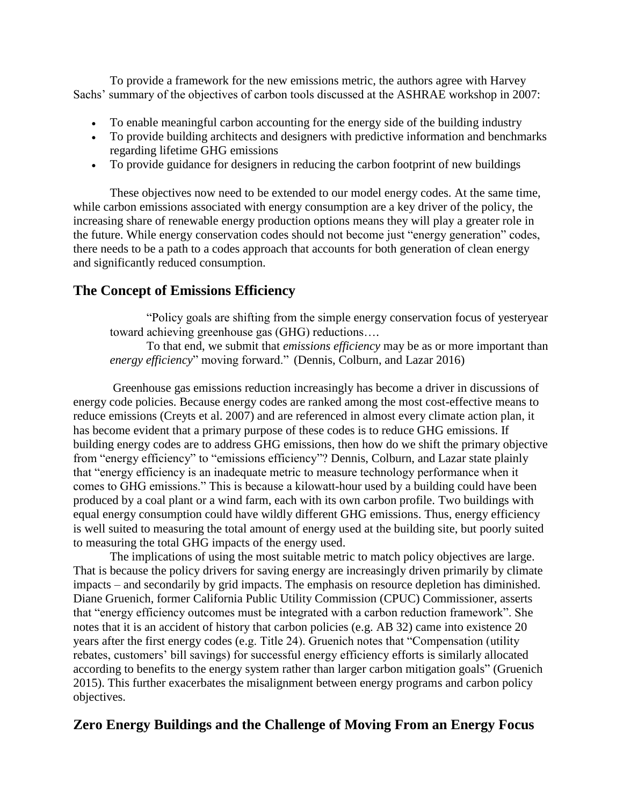To provide a framework for the new emissions metric, the authors agree with Harvey Sachs' summary of the objectives of carbon tools discussed at the ASHRAE workshop in 2007:

- To enable meaningful carbon accounting for the energy side of the building industry
- To provide building architects and designers with predictive information and benchmarks regarding lifetime GHG emissions
- To provide guidance for designers in reducing the carbon footprint of new buildings

These objectives now need to be extended to our model energy codes. At the same time, while carbon emissions associated with energy consumption are a key driver of the policy, the increasing share of renewable energy production options means they will play a greater role in the future. While energy conservation codes should not become just "energy generation" codes, there needs to be a path to a codes approach that accounts for both generation of clean energy and significantly reduced consumption.

# **The Concept of Emissions Efficiency**

"Policy goals are shifting from the simple energy conservation focus of yesteryear toward achieving greenhouse gas (GHG) reductions….

To that end, we submit that *emissions efficiency* may be as or more important than *energy efficiency*" moving forward." (Dennis, Colburn, and Lazar 2016)

Greenhouse gas emissions reduction increasingly has become a driver in discussions of energy code policies. Because energy codes are ranked among the most cost-effective means to reduce emissions (Creyts et al. 2007) and are referenced in almost every climate action plan, it has become evident that a primary purpose of these codes is to reduce GHG emissions. If building energy codes are to address GHG emissions, then how do we shift the primary objective from "energy efficiency" to "emissions efficiency"? Dennis, Colburn, and Lazar state plainly that "energy efficiency is an inadequate metric to measure technology performance when it comes to GHG emissions." This is because a kilowatt-hour used by a building could have been produced by a coal plant or a wind farm, each with its own carbon profile. Two buildings with equal energy consumption could have wildly different GHG emissions. Thus, energy efficiency is well suited to measuring the total amount of energy used at the building site, but poorly suited to measuring the total GHG impacts of the energy used.

The implications of using the most suitable metric to match policy objectives are large. That is because the policy drivers for saving energy are increasingly driven primarily by climate impacts – and secondarily by grid impacts. The emphasis on resource depletion has diminished. Diane Gruenich, former California Public Utility Commission (CPUC) Commissioner, asserts that "energy efficiency outcomes must be integrated with a carbon reduction framework". She notes that it is an accident of history that carbon policies (e.g. AB 32) came into existence 20 years after the first energy codes (e.g. Title 24). Gruenich notes that "Compensation (utility rebates, customers' bill savings) for successful energy efficiency efforts is similarly allocated according to benefits to the energy system rather than larger carbon mitigation goals" (Gruenich 2015). This further exacerbates the misalignment between energy programs and carbon policy objectives.

# **Zero Energy Buildings and the Challenge of Moving From an Energy Focus**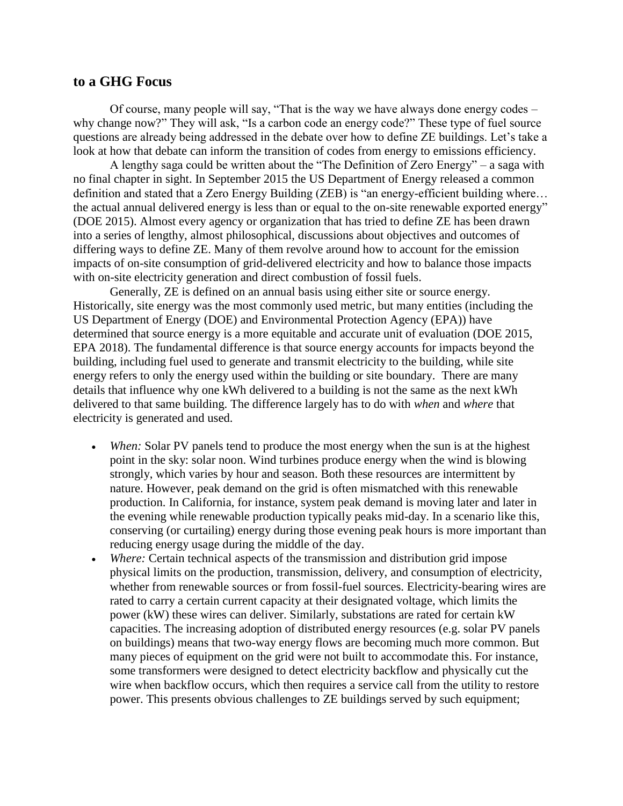#### **to a GHG Focus**

Of course, many people will say, "That is the way we have always done energy codes – why change now?" They will ask, "Is a carbon code an energy code?" These type of fuel source questions are already being addressed in the debate over how to define ZE buildings. Let's take a look at how that debate can inform the transition of codes from energy to emissions efficiency.

A lengthy saga could be written about the "The Definition of Zero Energy" – a saga with no final chapter in sight. In September 2015 the US Department of Energy released a common definition and stated that a Zero Energy Building (ZEB) is "an energy-efficient building where… the actual annual delivered energy is less than or equal to the on-site renewable exported energy" (DOE 2015). Almost every agency or organization that has tried to define ZE has been drawn into a series of lengthy, almost philosophical, discussions about objectives and outcomes of differing ways to define ZE. Many of them revolve around how to account for the emission impacts of on-site consumption of grid-delivered electricity and how to balance those impacts with on-site electricity generation and direct combustion of fossil fuels.

Generally, ZE is defined on an annual basis using either site or source energy. Historically, site energy was the most commonly used metric, but many entities (including the US Department of Energy (DOE) and Environmental Protection Agency (EPA)) have determined that source energy is a more equitable and accurate unit of evaluation (DOE 2015, EPA 2018). The fundamental difference is that source energy accounts for impacts beyond the building, including fuel used to generate and transmit electricity to the building, while site energy refers to only the energy used within the building or site boundary. There are many details that influence why one kWh delivered to a building is not the same as the next kWh delivered to that same building. The difference largely has to do with *when* and *where* that electricity is generated and used.

- *When:* Solar PV panels tend to produce the most energy when the sun is at the highest point in the sky: solar noon. Wind turbines produce energy when the wind is blowing strongly, which varies by hour and season. Both these resources are intermittent by nature. However, peak demand on the grid is often mismatched with this renewable production. In California, for instance, system peak demand is moving later and later in the evening while renewable production typically peaks mid-day. In a scenario like this, conserving (or curtailing) energy during those evening peak hours is more important than reducing energy usage during the middle of the day.
- *Where:* Certain technical aspects of the transmission and distribution grid impose physical limits on the production, transmission, delivery, and consumption of electricity, whether from renewable sources or from fossil-fuel sources. Electricity-bearing wires are rated to carry a certain current capacity at their designated voltage, which limits the power (kW) these wires can deliver. Similarly, substations are rated for certain kW capacities. The increasing adoption of distributed energy resources (e.g. solar PV panels on buildings) means that two-way energy flows are becoming much more common. But many pieces of equipment on the grid were not built to accommodate this. For instance, some transformers were designed to detect electricity backflow and physically cut the wire when backflow occurs, which then requires a service call from the utility to restore power. This presents obvious challenges to ZE buildings served by such equipment;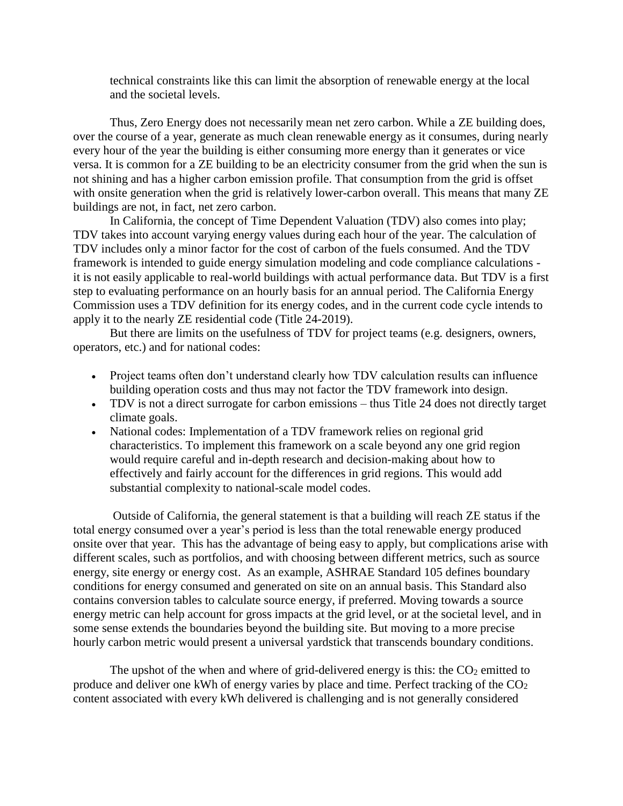technical constraints like this can limit the absorption of renewable energy at the local and the societal levels.

Thus, Zero Energy does not necessarily mean net zero carbon. While a ZE building does, over the course of a year, generate as much clean renewable energy as it consumes, during nearly every hour of the year the building is either consuming more energy than it generates or vice versa. It is common for a ZE building to be an electricity consumer from the grid when the sun is not shining and has a higher carbon emission profile. That consumption from the grid is offset with onsite generation when the grid is relatively lower-carbon overall. This means that many ZE buildings are not, in fact, net zero carbon.

In California, the concept of Time Dependent Valuation (TDV) also comes into play; TDV takes into account varying energy values during each hour of the year. The calculation of TDV includes only a minor factor for the cost of carbon of the fuels consumed. And the TDV framework is intended to guide energy simulation modeling and code compliance calculations it is not easily applicable to real-world buildings with actual performance data. But TDV is a first step to evaluating performance on an hourly basis for an annual period. The California Energy Commission uses a TDV definition for its energy codes, and in the current code cycle intends to apply it to the nearly ZE residential code (Title 24-2019).

But there are limits on the usefulness of TDV for project teams (e.g. designers, owners, operators, etc.) and for national codes:

- Project teams often don't understand clearly how TDV calculation results can influence building operation costs and thus may not factor the TDV framework into design.
- TDV is not a direct surrogate for carbon emissions thus Title 24 does not directly target climate goals.
- National codes: Implementation of a TDV framework relies on regional grid characteristics. To implement this framework on a scale beyond any one grid region would require careful and in-depth research and decision-making about how to effectively and fairly account for the differences in grid regions. This would add substantial complexity to national-scale model codes.

Outside of California, the general statement is that a building will reach ZE status if the total energy consumed over a year's period is less than the total renewable energy produced onsite over that year. This has the advantage of being easy to apply, but complications arise with different scales, such as portfolios, and with choosing between different metrics, such as source energy, site energy or energy cost. As an example, ASHRAE Standard 105 defines boundary conditions for energy consumed and generated on site on an annual basis. This Standard also contains conversion tables to calculate source energy, if preferred. Moving towards a source energy metric can help account for gross impacts at the grid level, or at the societal level, and in some sense extends the boundaries beyond the building site. But moving to a more precise hourly carbon metric would present a universal yardstick that transcends boundary conditions.

The upshot of the when and where of grid-delivered energy is this: the  $CO<sub>2</sub>$  emitted to produce and deliver one kWh of energy varies by place and time. Perfect tracking of the  $CO<sub>2</sub>$ content associated with every kWh delivered is challenging and is not generally considered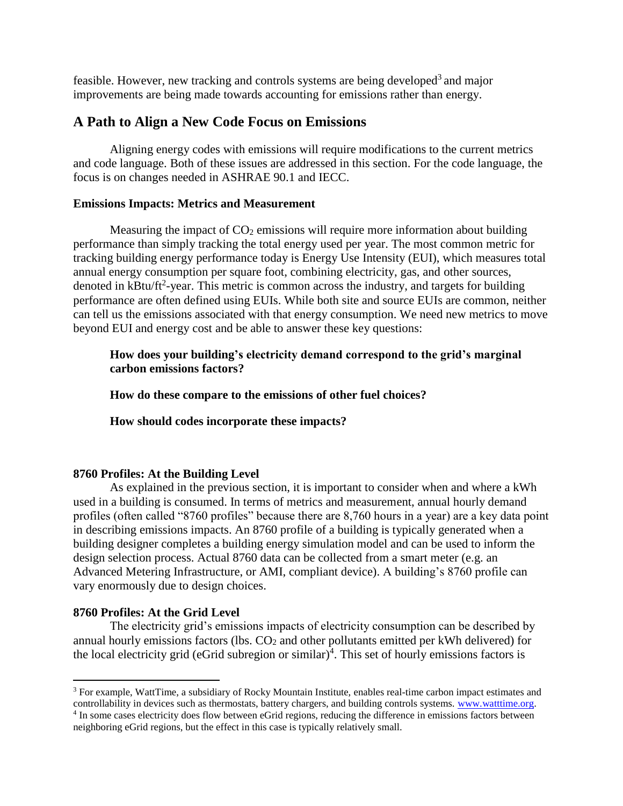feasible. However, new tracking and controls systems are being developed<sup>3</sup> and major improvements are being made towards accounting for emissions rather than energy.

# **A Path to Align a New Code Focus on Emissions**

Aligning energy codes with emissions will require modifications to the current metrics and code language. Both of these issues are addressed in this section. For the code language, the focus is on changes needed in ASHRAE 90.1 and IECC.

#### **Emissions Impacts: Metrics and Measurement**

Measuring the impact of  $CO<sub>2</sub>$  emissions will require more information about building performance than simply tracking the total energy used per year. The most common metric for tracking building energy performance today is Energy Use Intensity (EUI), which measures total annual energy consumption per square foot, combining electricity, gas, and other sources, denoted in kBtu/ft<sup>2</sup>-year. This metric is common across the industry, and targets for building performance are often defined using EUIs. While both site and source EUIs are common, neither can tell us the emissions associated with that energy consumption. We need new metrics to move beyond EUI and energy cost and be able to answer these key questions:

#### **How does your building's electricity demand correspond to the grid's marginal carbon emissions factors?**

**How do these compare to the emissions of other fuel choices?**

**How should codes incorporate these impacts?**

#### **8760 Profiles: At the Building Level**

As explained in the previous section, it is important to consider when and where a kWh used in a building is consumed. In terms of metrics and measurement, annual hourly demand profiles (often called "8760 profiles" because there are 8,760 hours in a year) are a key data point in describing emissions impacts. An 8760 profile of a building is typically generated when a building designer completes a building energy simulation model and can be used to inform the design selection process. Actual 8760 data can be collected from a smart meter (e.g. an Advanced Metering Infrastructure, or AMI, compliant device). A building's 8760 profile can vary enormously due to design choices.

#### **8760 Profiles: At the Grid Level**

 $\overline{a}$ 

The electricity grid's emissions impacts of electricity consumption can be described by annual hourly emissions factors (lbs.  $CO<sub>2</sub>$  and other pollutants emitted per kWh delivered) for the local electricity grid (eGrid subregion or similar)<sup>4</sup>. This set of hourly emissions factors is

<sup>3</sup> For example, WattTime, a subsidiary of Rocky Mountain Institute, enables real-time carbon impact estimates and controllability in devices such as thermostats, battery chargers, and building controls systems. [www.watttime.org.](http://www.watttime.org/)

<sup>&</sup>lt;sup>4</sup> In some cases electricity does flow between eGrid regions, reducing the difference in emissions factors between neighboring eGrid regions, but the effect in this case is typically relatively small.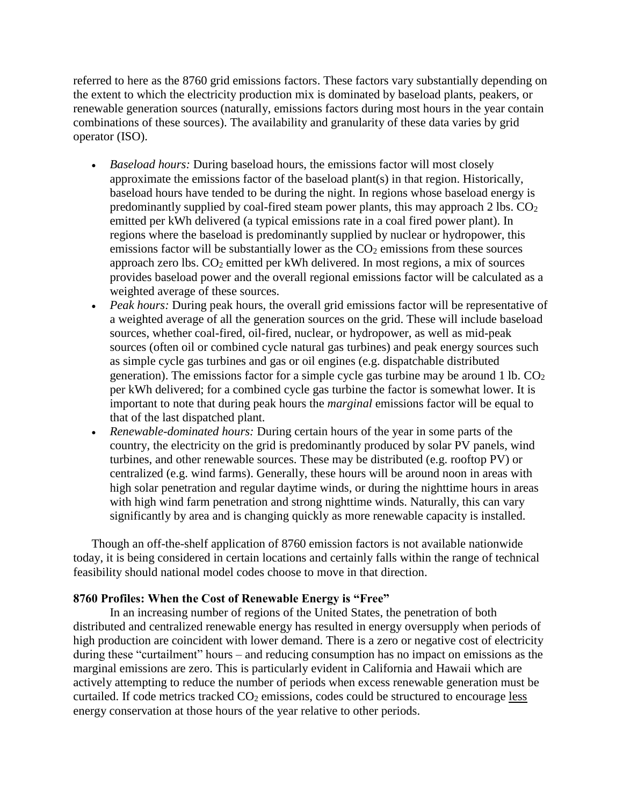referred to here as the 8760 grid emissions factors. These factors vary substantially depending on the extent to which the electricity production mix is dominated by baseload plants, peakers, or renewable generation sources (naturally, emissions factors during most hours in the year contain combinations of these sources). The availability and granularity of these data varies by grid operator (ISO).

- *Baseload hours:* During baseload hours, the emissions factor will most closely approximate the emissions factor of the baseload plant(s) in that region. Historically, baseload hours have tended to be during the night. In regions whose baseload energy is predominantly supplied by coal-fired steam power plants, this may approach  $2 \text{ lbs. } CO_2$ emitted per kWh delivered (a typical emissions rate in a coal fired power plant). In regions where the baseload is predominantly supplied by nuclear or hydropower, this emissions factor will be substantially lower as the  $CO<sub>2</sub>$  emissions from these sources approach zero lbs. CO<sup>2</sup> emitted per kWh delivered. In most regions, a mix of sources provides baseload power and the overall regional emissions factor will be calculated as a weighted average of these sources.
- *Peak hours:* During peak hours, the overall grid emissions factor will be representative of a weighted average of all the generation sources on the grid. These will include baseload sources, whether coal-fired, oil-fired, nuclear, or hydropower, as well as mid-peak sources (often oil or combined cycle natural gas turbines) and peak energy sources such as simple cycle gas turbines and gas or oil engines (e.g. dispatchable distributed generation). The emissions factor for a simple cycle gas turbine may be around 1 lb.  $CO<sub>2</sub>$ per kWh delivered; for a combined cycle gas turbine the factor is somewhat lower. It is important to note that during peak hours the *marginal* emissions factor will be equal to that of the last dispatched plant.
- *Renewable-dominated hours:* During certain hours of the year in some parts of the country, the electricity on the grid is predominantly produced by solar PV panels, wind turbines, and other renewable sources. These may be distributed (e.g. rooftop PV) or centralized (e.g. wind farms). Generally, these hours will be around noon in areas with high solar penetration and regular daytime winds, or during the nighttime hours in areas with high wind farm penetration and strong nighttime winds. Naturally, this can vary significantly by area and is changing quickly as more renewable capacity is installed.

Though an off-the-shelf application of 8760 emission factors is not available nationwide today, it is being considered in certain locations and certainly falls within the range of technical feasibility should national model codes choose to move in that direction.

#### **8760 Profiles: When the Cost of Renewable Energy is "Free"**

In an increasing number of regions of the United States, the penetration of both distributed and centralized renewable energy has resulted in energy oversupply when periods of high production are coincident with lower demand. There is a zero or negative cost of electricity during these "curtailment" hours – and reducing consumption has no impact on emissions as the marginal emissions are zero. This is particularly evident in California and Hawaii which are actively attempting to reduce the number of periods when excess renewable generation must be curtailed. If code metrics tracked  $CO<sub>2</sub>$  emissions, codes could be structured to encourage less energy conservation at those hours of the year relative to other periods.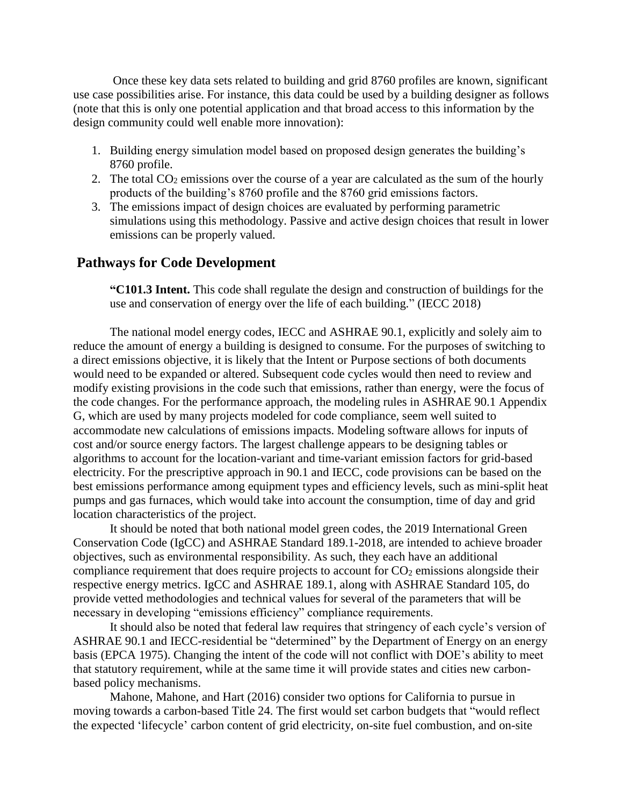Once these key data sets related to building and grid 8760 profiles are known, significant use case possibilities arise. For instance, this data could be used by a building designer as follows (note that this is only one potential application and that broad access to this information by the design community could well enable more innovation):

- 1. Building energy simulation model based on proposed design generates the building's 8760 profile.
- 2. The total  $CO<sub>2</sub>$  emissions over the course of a year are calculated as the sum of the hourly products of the building's 8760 profile and the 8760 grid emissions factors.
- 3. The emissions impact of design choices are evaluated by performing parametric simulations using this methodology. Passive and active design choices that result in lower emissions can be properly valued.

## **Pathways for Code Development**

**"C101.3 Intent.** This code shall regulate the design and construction of buildings for the use and conservation of energy over the life of each building." (IECC 2018)

The national model energy codes, IECC and ASHRAE 90.1, explicitly and solely aim to reduce the amount of energy a building is designed to consume. For the purposes of switching to a direct emissions objective, it is likely that the Intent or Purpose sections of both documents would need to be expanded or altered. Subsequent code cycles would then need to review and modify existing provisions in the code such that emissions, rather than energy, were the focus of the code changes. For the performance approach, the modeling rules in ASHRAE 90.1 Appendix G, which are used by many projects modeled for code compliance, seem well suited to accommodate new calculations of emissions impacts. Modeling software allows for inputs of cost and/or source energy factors. The largest challenge appears to be designing tables or algorithms to account for the location-variant and time-variant emission factors for grid-based electricity. For the prescriptive approach in 90.1 and IECC, code provisions can be based on the best emissions performance among equipment types and efficiency levels, such as mini-split heat pumps and gas furnaces, which would take into account the consumption, time of day and grid location characteristics of the project.

It should be noted that both national model green codes, the 2019 International Green Conservation Code (IgCC) and ASHRAE Standard 189.1-2018, are intended to achieve broader objectives, such as environmental responsibility. As such, they each have an additional compliance requirement that does require projects to account for  $CO<sub>2</sub>$  emissions alongside their respective energy metrics. IgCC and ASHRAE 189.1, along with ASHRAE Standard 105, do provide vetted methodologies and technical values for several of the parameters that will be necessary in developing "emissions efficiency" compliance requirements.

It should also be noted that federal law requires that stringency of each cycle's version of ASHRAE 90.1 and IECC-residential be "determined" by the Department of Energy on an energy basis (EPCA 1975). Changing the intent of the code will not conflict with DOE's ability to meet that statutory requirement, while at the same time it will provide states and cities new carbonbased policy mechanisms.

Mahone, Mahone, and Hart (2016) consider two options for California to pursue in moving towards a carbon-based Title 24. The first would set carbon budgets that "would reflect the expected 'lifecycle' carbon content of grid electricity, on-site fuel combustion, and on-site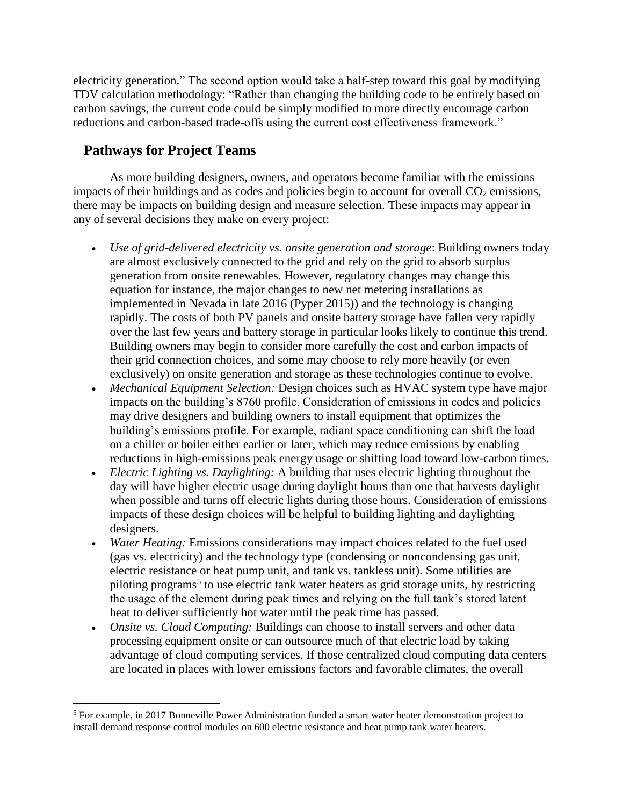electricity generation." The second option would take a half-step toward this goal by modifying TDV calculation methodology: "Rather than changing the building code to be entirely based on carbon savings, the current code could be simply modified to more directly encourage carbon reductions and carbon-based trade-offs using the current cost effectiveness framework."

# **Pathways for Project Teams**

 $\overline{a}$ 

As more building designers, owners, and operators become familiar with the emissions impacts of their buildings and as codes and policies begin to account for overall  $CO<sub>2</sub>$  emissions, there may be impacts on building design and measure selection. These impacts may appear in any of several decisions they make on every project:

- *Use of grid-delivered electricity vs. onsite generation and storage*: Building owners today are almost exclusively connected to the grid and rely on the grid to absorb surplus generation from onsite renewables. However, regulatory changes may change this equation for instance, the major changes to new net metering installations as implemented in Nevada in late 2016 (Pyper 2015)) and the technology is changing rapidly. The costs of both PV panels and onsite battery storage have fallen very rapidly over the last few years and battery storage in particular looks likely to continue this trend. Building owners may begin to consider more carefully the cost and carbon impacts of their grid connection choices, and some may choose to rely more heavily (or even exclusively) on onsite generation and storage as these technologies continue to evolve.
- *Mechanical Equipment Selection:* Design choices such as HVAC system type have major impacts on the building's 8760 profile. Consideration of emissions in codes and policies may drive designers and building owners to install equipment that optimizes the building's emissions profile. For example, radiant space conditioning can shift the load on a chiller or boiler either earlier or later, which may reduce emissions by enabling reductions in high-emissions peak energy usage or shifting load toward low-carbon times.
- *Electric Lighting vs. Daylighting:* A building that uses electric lighting throughout the day will have higher electric usage during daylight hours than one that harvests daylight when possible and turns off electric lights during those hours. Consideration of emissions impacts of these design choices will be helpful to building lighting and daylighting designers.
- *Water Heating:* Emissions considerations may impact choices related to the fuel used (gas vs. electricity) and the technology type (condensing or noncondensing gas unit, electric resistance or heat pump unit, and tank vs. tankless unit). Some utilities are piloting programs<sup>5</sup> to use electric tank water heaters as grid storage units, by restricting the usage of the element during peak times and relying on the full tank's stored latent heat to deliver sufficiently hot water until the peak time has passed.
- *Onsite vs. Cloud Computing:* Buildings can choose to install servers and other data processing equipment onsite or can outsource much of that electric load by taking advantage of cloud computing services. If those centralized cloud computing data centers are located in places with lower emissions factors and favorable climates, the overall

<sup>&</sup>lt;sup>5</sup> For example, in 2017 Bonneville Power Administration funded a smart water heater demonstration project to install demand response control modules on 600 electric resistance and heat pump tank water heaters.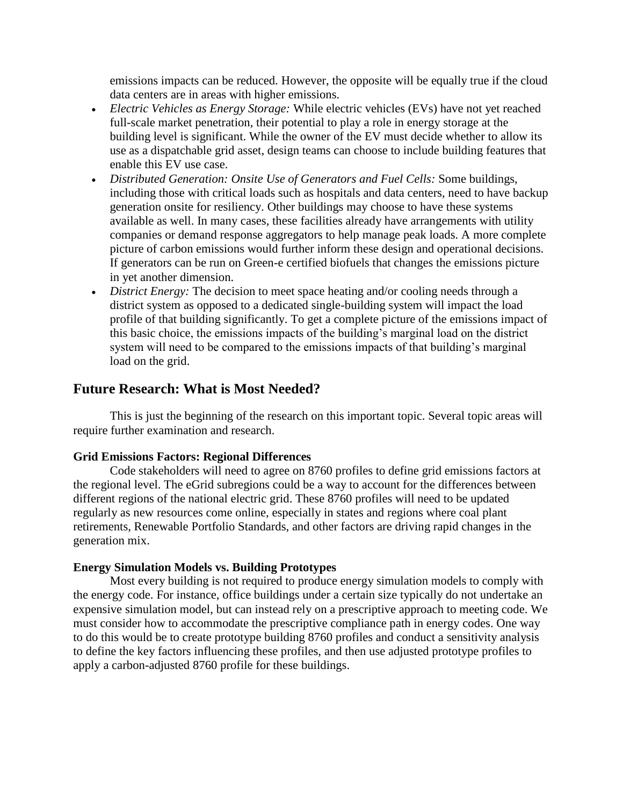emissions impacts can be reduced. However, the opposite will be equally true if the cloud data centers are in areas with higher emissions.

- *Electric Vehicles as Energy Storage:* While electric vehicles (EVs) have not yet reached full-scale market penetration, their potential to play a role in energy storage at the building level is significant. While the owner of the EV must decide whether to allow its use as a dispatchable grid asset, design teams can choose to include building features that enable this EV use case.
- *Distributed Generation: Onsite Use of Generators and Fuel Cells:* Some buildings, including those with critical loads such as hospitals and data centers, need to have backup generation onsite for resiliency. Other buildings may choose to have these systems available as well. In many cases, these facilities already have arrangements with utility companies or demand response aggregators to help manage peak loads. A more complete picture of carbon emissions would further inform these design and operational decisions. If generators can be run on Green-e certified biofuels that changes the emissions picture in yet another dimension.
- *District Energy:* The decision to meet space heating and/or cooling needs through a district system as opposed to a dedicated single-building system will impact the load profile of that building significantly. To get a complete picture of the emissions impact of this basic choice, the emissions impacts of the building's marginal load on the district system will need to be compared to the emissions impacts of that building's marginal load on the grid.

# **Future Research: What is Most Needed?**

This is just the beginning of the research on this important topic. Several topic areas will require further examination and research.

#### **Grid Emissions Factors: Regional Differences**

Code stakeholders will need to agree on 8760 profiles to define grid emissions factors at the regional level. The eGrid subregions could be a way to account for the differences between different regions of the national electric grid. These 8760 profiles will need to be updated regularly as new resources come online, especially in states and regions where coal plant retirements, Renewable Portfolio Standards, and other factors are driving rapid changes in the generation mix.

#### **Energy Simulation Models vs. Building Prototypes**

Most every building is not required to produce energy simulation models to comply with the energy code. For instance, office buildings under a certain size typically do not undertake an expensive simulation model, but can instead rely on a prescriptive approach to meeting code. We must consider how to accommodate the prescriptive compliance path in energy codes. One way to do this would be to create prototype building 8760 profiles and conduct a sensitivity analysis to define the key factors influencing these profiles, and then use adjusted prototype profiles to apply a carbon-adjusted 8760 profile for these buildings.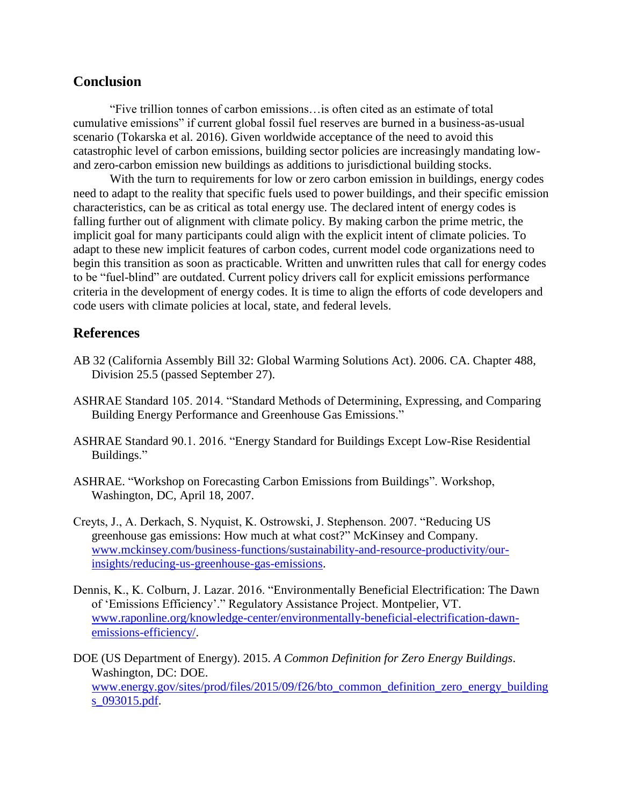## **Conclusion**

"Five trillion tonnes of carbon emissions…is often cited as an estimate of total cumulative emissions" if current global fossil fuel reserves are burned in a business-as-usual scenario (Tokarska et al. 2016). Given worldwide acceptance of the need to avoid this catastrophic level of carbon emissions, building sector policies are increasingly mandating lowand zero-carbon emission new buildings as additions to jurisdictional building stocks.

With the turn to requirements for low or zero carbon emission in buildings, energy codes need to adapt to the reality that specific fuels used to power buildings, and their specific emission characteristics, can be as critical as total energy use. The declared intent of energy codes is falling further out of alignment with climate policy. By making carbon the prime metric, the implicit goal for many participants could align with the explicit intent of climate policies. To adapt to these new implicit features of carbon codes, current model code organizations need to begin this transition as soon as practicable. Written and unwritten rules that call for energy codes to be "fuel-blind" are outdated. Current policy drivers call for explicit emissions performance criteria in the development of energy codes. It is time to align the efforts of code developers and code users with climate policies at local, state, and federal levels.

## **References**

- AB 32 (California Assembly Bill 32: Global Warming Solutions Act). 2006. CA. Chapter 488, Division 25.5 (passed September 27).
- ASHRAE Standard 105. 2014. "Standard Methods of Determining, Expressing, and Comparing Building Energy Performance and Greenhouse Gas Emissions."
- ASHRAE Standard 90.1. 2016. "Energy Standard for Buildings Except Low-Rise Residential Buildings."
- ASHRAE. "Workshop on Forecasting Carbon Emissions from Buildings". Workshop, Washington, DC, April 18, 2007.
- Creyts, J., A. Derkach, S. Nyquist, K. Ostrowski, J. Stephenson. 2007. "Reducing US greenhouse gas emissions: How much at what cost?" McKinsey and Company. [www.mckinsey.com/business-functions/sustainability-and-resource-productivity/our](http://www.mckinsey.com/business-functions/sustainability-and-resource-productivity/our-insights/reducing-us-greenhouse-gas-emissions)[insights/reducing-us-greenhouse-gas-emissions.](http://www.mckinsey.com/business-functions/sustainability-and-resource-productivity/our-insights/reducing-us-greenhouse-gas-emissions)
- Dennis, K., K. Colburn, J. Lazar. 2016. "Environmentally Beneficial Electrification: The Dawn of 'Emissions Efficiency'." Regulatory Assistance Project. Montpelier, VT. [www.raponline.org/knowledge-center/environmentally-beneficial-electrification-dawn](http://www.raponline.org/knowledge-center/environmentally-beneficial-electrification-dawn-emissions-efficiency/)[emissions-efficiency/.](http://www.raponline.org/knowledge-center/environmentally-beneficial-electrification-dawn-emissions-efficiency/)
- DOE (US Department of Energy). 2015. *A Common Definition for Zero Energy Buildings*. Washington, DC: DOE. [www.energy.gov/sites/prod/files/2015/09/f26/bto\\_common\\_definition\\_zero\\_energy\\_building](http://www.energy.gov/sites/prod/files/2015/09/f26/bto_common_definition_zero_energy_buildings_093015.pdf) [s\\_093015.pdf.](http://www.energy.gov/sites/prod/files/2015/09/f26/bto_common_definition_zero_energy_buildings_093015.pdf)